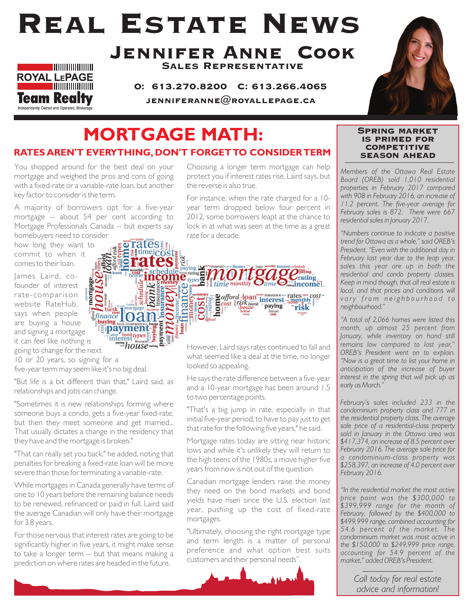# Real Estate News



Jennifer Anne Cook Sales Representative

O: 613.270.8200 C: 613.266.4065 JENNIFERANNE $@$ ROYALLEPAGE.CA



## **MORTGAGE MATH: RATES AREN'T EVERYTHING, DON'T FORGET TO CONSIDER TERM**

You shopped around for the best deal on your mortgage and weighed the pros and cons of going with a fixed-rate or a variable-rate loan, but another key factor to consider is the term.

A majority of borrowers opt for a five-year mortgage -- about 54 per cent according to Mortgage Professionals Canada -- but experts say

homebuyers need to consider how long they want to commit to when it comes to their loan.

James Laird, cofounder of interest rate-comparison website RateHub, says when people are buying a house and signing a mortgage it can feel like nothing is going to change for the next

10 or 20 years, so signing for a

five-year term may seem like it's no big deal.

"But life is a bit different than that," Laird said, as relationships and jobs can change.

"Sometimes it is new relationships forming where someone buys a condo, gets a five-year fixed-rate, but then they meet someone and get married... That usually dictates a change in the residency that they have and the mortgage is broken."

"That can really set you back," he added, noting that penalties for breaking a fixed-rate loan will be more severe than those for terminating a variable-rate.

While mortgages in Canada generally have terms of one to 10 years before the remaining balance needs to be renewed, refinanced or paid in full, Laird said the average Canadian will only have their mortgage for 3.8 years.

For those nervous that interest rates are going to be significantly higher in five years, it might make sense to take a longer term -- but that means making a prediction on where rates are headed in the future.

Choosing a longer term mortgage can help protect you if interest rates rise, Laird says, but the reverse is also true.

For instance, when the rate charged for a 10 year term dropped below four percent in 2012, some borrowers leapt at the chance to lock in at what was seen at the time as a great rate for a decade.



However, Laird says rates continued to fall and what seemed like a deal at the time, no longer looked so appealing.

He says the rate difference between a five-year and a 10-year mortgage has been around 1.5 to two percentage points.

"That's a big jump in rate, especially in that initial five-year period, to have to pay just to get that rate for the following five years," he said.

Mortgage rates today are sitting near historic lows and while it's unlikely they will return to the high teens of the 1980s, a move higher five years from now is not out of the question.

Canadian mortgage lenders raise the money they need on the bond markets and bond yields have risen since the U.S. election last year, pushing up the cost of fixed-rate mortgages.

"Ultimately, choosing the right mortgage type and term length is a matter of personal preference and what option best suits customers and their personal needs".



#### Spring market is primed for **COMPETITIVE** season ahead

*Members of the Ottawa Real Estate Board (OREB) sold 1,010 residential properties in February 2017 compared with 908 in February 2016, an increase of 11.2 percent. The five-year average for February sales is 872. There were 667 residential sales in January 2017.*

*"Numbers continue to indicate a positive trend for Ottawa as a whole," said OREB's President. "Even with the additional day in February last year due to the leap year, sales this year are up in both the residential and condo property classes. Keep in mind though, that all real estate is local, and that prices and conditions will vary from neighbourhood to neighbourhood."* 

*"A total of 2,066 homes were listed this month, up almost 25 percent from January, while inventory on hand still remains low compared to last year," OREB's President went on to explain. "Now is a great time to list your home in anticipation of the increase of buyer interest in the spring that will pick up as early as March."*

*February's sales included 233 in the condominium property class and 777 in the residential property class. The average sale price of a residential-class property sold in January in the Ottawa area was \$417,374, an increase of 8.5 percent over February 2016. The average sale price for a condominium-class property was \$258,397, an increase of 4.0 percent over February 2016.* 

*"In the residential market the most active price point was the \$300,000 to \$399,999 range for the month of February, followed by the \$400,000 to \$499,999 range, combined accounting for 54.6 percent of the market. The condominium market was most active in the \$150,000 to \$249,999 price range, accounting for 54.9 percent of the market," added OREB's President.*

> *Call today for real estate advice and information!*